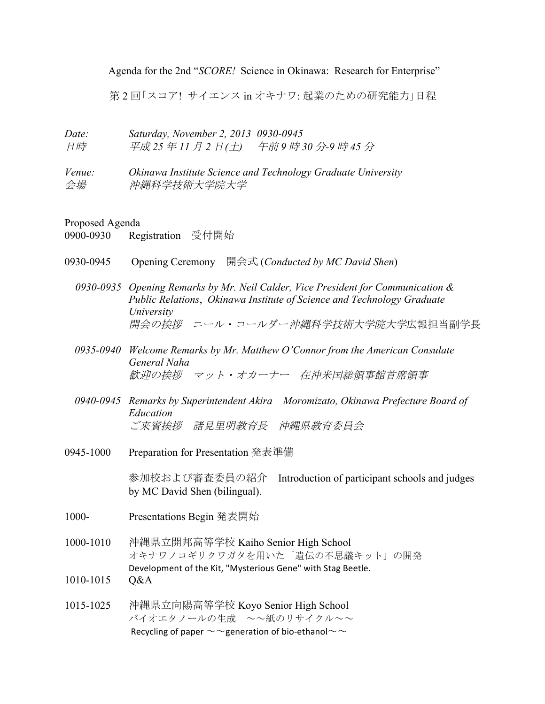Agenda for the 2nd "*SCORE!* Science in Okinawa: Research for Enterprise"

第 2 回「スコア! サイエンス in オキナワ: 起業のための研究能力」日程

| Date:<br>日時  | Saturday, November 2, 2013 0930-0945<br>平成 25 年 11 月 2 日(土) 午前 9 時 30 分-9 時 45 分 |                                                              |
|--------------|----------------------------------------------------------------------------------|--------------------------------------------------------------|
| Venue:<br>会場 | 沖縄科学技術大学院大学                                                                      | Okinawa Institute Science and Technology Graduate University |

Proposed Agenda

0900-0930 Registration 受付開始

- 0930-0945 Opening Ceremony 開会式 (*Conducted by MC David Shen*)
	- *0930-0935 Opening Remarks by Mr. Neil Calder, Vice President for Communication & Public Relations*, *Okinawa Institute of Science and Technology Graduate University* 開会の挨拶 ニール・コールダー沖縄科学技術大学院大学広報担当副学長
	- *0935-0940 Welcome Remarks by Mr. Matthew O'Connor from the American Consulate General Naha* 歓迎の挨拶 マット・オカーナー 在沖米国総領事館首席領事
	- *0940-0945 Remarks by Superintendent Akira Moromizato, Okinawa Prefecture Board of Education* ご来賓挨拶 諸見里明教育長 沖縄県教育委員会
- 0945-1000 Preparation for Presentation 発表準備

参加校および審査委員の紹介 Introduction of participant schools and judges by MC David Shen (bilingual).

- 1000- Presentations Begin 発表開始
- 1000-1010 沖縄県立開邦高等学校 Kaiho Senior High School オキナワノコギリクワガタを用いた「遺伝の不思議キット」の開発 Development of the Kit, "Mysterious Gene" with Stag Beetle.
- 1010-1015 Q&A
- 1015-1025 沖縄県立向陽高等学校 Koyo Senior High School バイオエタノールの生成 ~~紙のリサイクル~~ Recycling of paper  $\sim\sim$  generation of bio-ethanol $\sim\sim$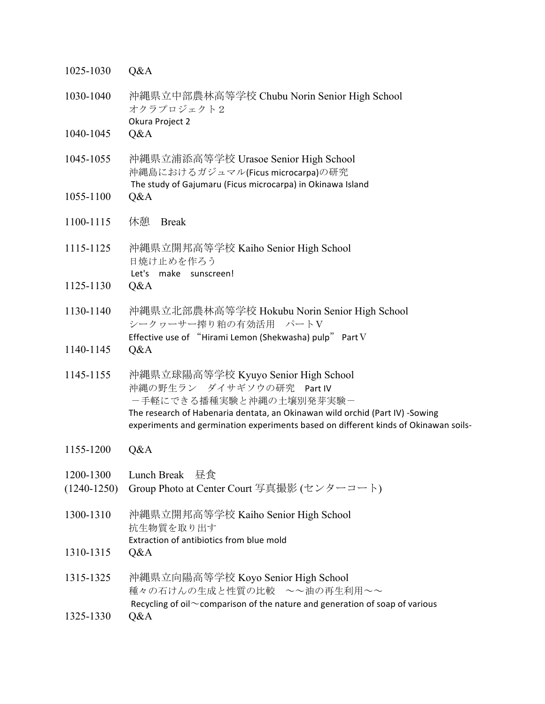| 1025-1030                    | Q&A                                                                                                                                                                                                                                                                   |
|------------------------------|-----------------------------------------------------------------------------------------------------------------------------------------------------------------------------------------------------------------------------------------------------------------------|
| 1030-1040                    | 沖縄県立中部農林高等学校 Chubu Norin Senior High School<br>オクラプロジェクト2<br>Okura Project 2                                                                                                                                                                                          |
| 1040-1045                    | Q&A                                                                                                                                                                                                                                                                   |
| 1045-1055                    | 沖縄県立浦添高等学校 Urasoe Senior High School<br>沖縄島におけるガジュマル(Ficus microcarpa)の研究<br>The study of Gajumaru (Ficus microcarpa) in Okinawa Island                                                                                                                               |
| 1055-1100                    | Q&A                                                                                                                                                                                                                                                                   |
| 1100-1115                    | 休憩<br><b>Break</b>                                                                                                                                                                                                                                                    |
| 1115-1125                    | 沖縄県立開邦高等学校 Kaiho Senior High School<br>日焼け止めを作ろう<br>Let's make sunscreen!                                                                                                                                                                                             |
| 1125-1130                    | Q&A                                                                                                                                                                                                                                                                   |
| 1130-1140                    | 沖縄県立北部農林高等学校 Hokubu Norin Senior High School<br>シークヮーサー搾り粕の有効活用 パートV<br>Effective use of "Hirami Lemon (Shekwasha) pulp" Part V                                                                                                                                       |
| 1140-1145                    | Q&A                                                                                                                                                                                                                                                                   |
| 1145-1155                    | 沖縄県立球陽高等学校 Kyuyo Senior High School<br>沖縄の野生ラン ダイサギソウの研究<br>Part IV<br>ー手軽にできる播種実験と沖縄の土壌別発芽実験ー<br>The research of Habenaria dentata, an Okinawan wild orchid (Part IV) -Sowing<br>experiments and germination experiments based on different kinds of Okinawan soils- |
| 1155-1200                    | Q&A                                                                                                                                                                                                                                                                   |
| 1200-1300<br>$(1240 - 1250)$ | Lunch Break<br>昼食<br>Group Photo at Center Court 写真撮影 (センターコート)                                                                                                                                                                                                       |
| 1300-1310                    | 沖縄県立開邦高等学校 Kaiho Senior High School<br>抗生物質を取り出す                                                                                                                                                                                                                      |
| 1310-1315                    | Extraction of antibiotics from blue mold<br>Q&A                                                                                                                                                                                                                       |
| 1315-1325                    | 沖縄県立向陽高等学校 Koyo Senior High School<br>種々の石けんの生成と性質の比較 ~~油の再生利用~~<br>Recycling of oil $\sim$ comparison of the nature and generation of soap of various                                                                                                                |
| 1325-1330                    | Q&A                                                                                                                                                                                                                                                                   |